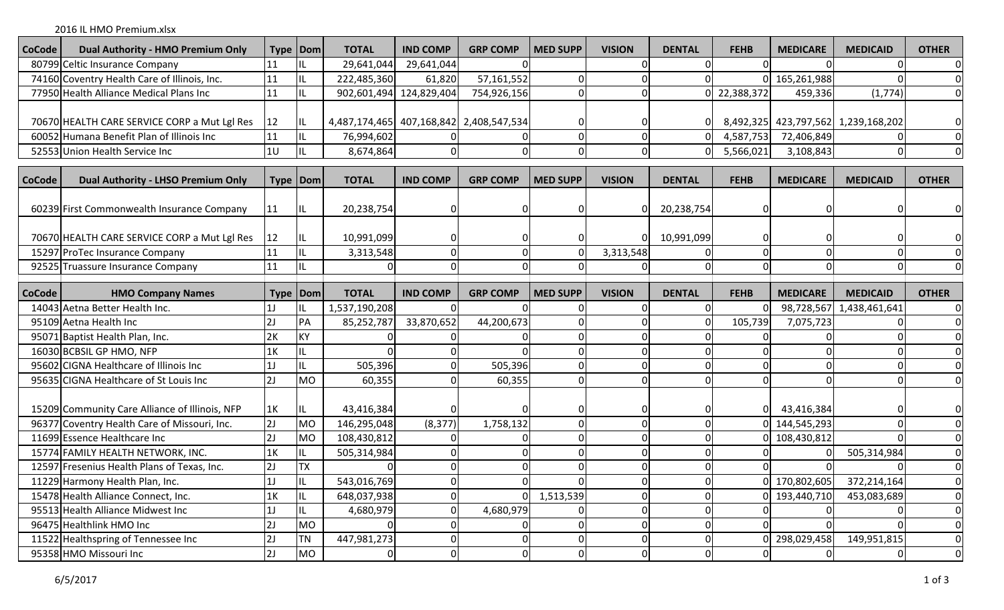2016 IL HMO Premium.xlsx

| <b>CoCode</b> | Dual Authority - HMO Premium Only                                                | Type   Dom        |                      | <b>TOTAL</b>                            | <b>IND COMP</b>         | <b>GRP COMP</b> | <b>MED SUPP</b> | <b>VISION</b> | <b>DENTAL</b>        | <b>FEHB</b> | <b>MEDICARE</b> | <b>MEDICAID</b>                     | <b>OTHER</b>                     |
|---------------|----------------------------------------------------------------------------------|-------------------|----------------------|-----------------------------------------|-------------------------|-----------------|-----------------|---------------|----------------------|-------------|-----------------|-------------------------------------|----------------------------------|
|               | 80799 Celtic Insurance Company                                                   | 11                |                      | 29,641,044                              | 29,641,044              |                 |                 |               |                      |             |                 |                                     | $\Omega$                         |
|               | 74160 Coventry Health Care of Illinois, Inc.                                     | 11                |                      | 222,485,360                             | 61,820                  | 57,161,552      |                 |               |                      |             | 165,261,988     |                                     |                                  |
|               | 77950 Health Alliance Medical Plans Inc                                          | 11                |                      |                                         | 902,601,494 124,829,404 | 754,926,156     |                 |               |                      | 22,388,372  | 459,336         | (1,774)                             |                                  |
|               |                                                                                  |                   |                      |                                         |                         |                 |                 |               |                      |             |                 |                                     |                                  |
|               | 70670 HEALTH CARE SERVICE CORP a Mut Lgl Res                                     | 12                | IL                   | 4,487,174,465 407,168,842 2,408,547,534 |                         |                 |                 |               |                      |             |                 | 8,492,325 423,797,562 1,239,168,202 |                                  |
|               | 60052 Humana Benefit Plan of Illinois Inc                                        | 11                |                      | 76,994,602                              |                         |                 |                 |               |                      | 4,587,753   | 72,406,849      |                                     |                                  |
|               | 52553 Union Health Service Inc                                                   | 10                |                      | 8,674,864                               | ΩI                      |                 |                 |               |                      | 5,566,021   | 3,108,843       |                                     |                                  |
|               |                                                                                  |                   |                      |                                         |                         |                 |                 |               |                      |             |                 |                                     |                                  |
| <b>CoCode</b> | <b>Dual Authority - LHSO Premium Only</b>                                        | Type   Dom        |                      | <b>TOTAL</b>                            | <b>IND COMP</b>         | <b>GRP COMP</b> | <b>MED SUPP</b> | <b>VISION</b> | <b>DENTAL</b>        | <b>FEHB</b> | <b>MEDICARE</b> | <b>MEDICAID</b>                     | <b>OTHER</b>                     |
|               |                                                                                  |                   |                      |                                         |                         |                 |                 |               |                      |             |                 |                                     |                                  |
|               | 60239 First Commonwealth Insurance Company                                       | 11                |                      | 20,238,754                              |                         |                 |                 |               | 20,238,754           |             |                 |                                     |                                  |
|               |                                                                                  |                   |                      |                                         |                         |                 |                 |               |                      |             |                 |                                     |                                  |
|               | 70670 HEALTH CARE SERVICE CORP a Mut Lgl Res                                     | 12                |                      | 10,991,099                              | 0                       |                 |                 |               | 10,991,099           |             |                 |                                     |                                  |
|               | 15297 ProTec Insurance Company                                                   | 11                |                      | 3,313,548                               | 0                       |                 |                 | 3,313,548     |                      |             |                 |                                     |                                  |
|               | 92525 Truassure Insurance Company                                                | 11                |                      |                                         | O                       |                 |                 |               |                      |             |                 |                                     |                                  |
|               |                                                                                  |                   |                      |                                         |                         |                 |                 |               |                      |             |                 |                                     |                                  |
| <b>CoCode</b> | <b>HMO Company Names</b>                                                         | <b>Type   Dom</b> |                      | <b>TOTAL</b>                            | <b>IND COMP</b>         | <b>GRP COMP</b> | <b>MED SUPP</b> | <b>VISION</b> | <b>DENTAL</b>        | <b>FEHB</b> | <b>MEDICARE</b> | <b>MEDICAID</b>                     | <b>OTHER</b>                     |
|               | 14043 Aetna Better Health Inc.                                                   | 1J                | IL                   | 1,537,190,208                           |                         |                 |                 |               |                      |             | 98,728,567      | 1,438,461,641                       |                                  |
|               | 95109 Aetna Health Inc                                                           | 2J                | PA                   | 85,252,787                              | 33,870,652              | 44,200,673      |                 |               |                      | 105,739     | 7,075,723       |                                     |                                  |
|               | 95071 Baptist Health Plan, Inc.                                                  | 2K                | KY                   |                                         |                         |                 |                 |               |                      |             |                 |                                     |                                  |
|               | 16030 BCBSIL GP HMO, NFP                                                         | 1K                |                      |                                         |                         | 505,396         |                 |               |                      |             |                 |                                     |                                  |
|               | 95602 CIGNA Healthcare of Illinois Inc<br>95635 CIGNA Healthcare of St Louis Inc | 1J                |                      | 505,396                                 |                         |                 |                 |               |                      |             |                 |                                     |                                  |
|               |                                                                                  |                   |                      |                                         |                         |                 |                 |               |                      |             |                 |                                     |                                  |
|               |                                                                                  | 2J                | <b>MO</b>            | 60,355                                  |                         | 60,355          |                 |               |                      |             |                 |                                     |                                  |
|               |                                                                                  |                   |                      |                                         |                         |                 |                 |               |                      |             |                 |                                     |                                  |
|               | 15209 Community Care Alliance of Illinois, NFP                                   | 1K                |                      | 43,416,384                              | $\Omega$                |                 |                 |               |                      |             | 43,416,384      |                                     |                                  |
|               | 96377 Coventry Health Care of Missouri, Inc.                                     | 2J                | MO                   | 146,295,048                             | (8, 377)                | 1,758,132       |                 |               |                      |             | 144,545,293     |                                     |                                  |
|               | 11699 Essence Healthcare Inc                                                     | 2J                | MO                   | 108,430,812                             | $\Omega$                |                 |                 |               |                      |             | 108,430,812     | ∩                                   |                                  |
|               | 15774 FAMILY HEALTH NETWORK, INC.                                                | 1K                |                      | 505,314,984                             | $\Omega$                |                 | $\Omega$        |               | $\Omega$             |             |                 | 505,314,984                         |                                  |
|               | 12597 Fresenius Health Plans of Texas, Inc.                                      | 2J                | TΧ<br>$\blacksquare$ |                                         | 0                       |                 |                 |               |                      |             |                 |                                     |                                  |
|               | 11229 Harmony Health Plan, Inc.                                                  | 1                 | 1 L                  | 543,016,769                             | νı                      |                 |                 |               |                      |             | 0 170,802,605   | 372,214,164                         |                                  |
|               | 15478 Health Alliance Connect, Inc.                                              | 1K                |                      | 648,037,938                             | 0                       |                 | 1,513,539       |               |                      |             | 193,440,710     | 453,083,689                         | $\mathbf 0$                      |
|               | 95513 Health Alliance Midwest Inc                                                | 1J                |                      | 4,680,979                               | $\overline{0}$          | 4,680,979       |                 |               |                      |             |                 |                                     | $\boldsymbol{0}$                 |
|               | 96475 Healthlink HMO Inc<br>11522 Healthspring of Tennessee Inc                  | 2J<br>2J          | MO<br><b>TN</b>      | 447,981,273                             | $\overline{0}$<br> 0    | O               |                 |               | $\Omega$<br>$\Omega$ |             | 298,029,458     | 149,951,815                         | $\overline{0}$<br>$\overline{0}$ |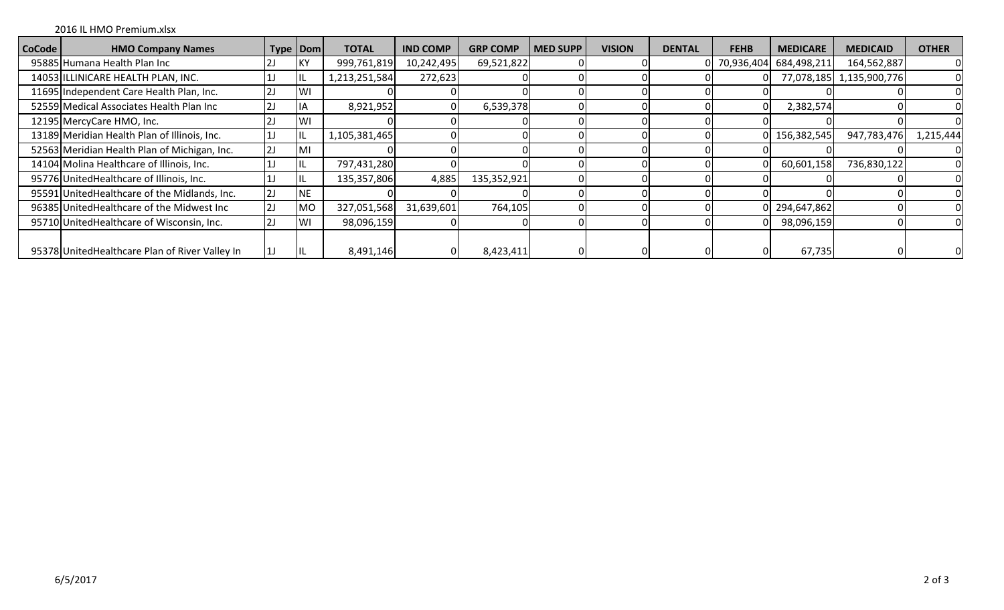## 2016 IL HMO Premium.xlsx

| <b>CoCode</b> | <b>HMO Company Names</b>                        | Type   Dom |            | <b>TOTAL</b>  | <b>IND COMP</b> | <b>GRP COMP</b> | <b>MED SUPP</b> | <b>VISION</b> | <b>DENTAL</b> | <b>FEHB</b> | <b>MEDICARE</b>          | <b>MEDICAID</b>          | <b>OTHER</b> |
|---------------|-------------------------------------------------|------------|------------|---------------|-----------------|-----------------|-----------------|---------------|---------------|-------------|--------------------------|--------------------------|--------------|
|               | 95885 Humana Health Plan Inc                    | 2J         | <b>KY</b>  | 999,761,819   | 10,242,495      | 69,521,822      |                 |               |               |             | 0 70,936,404 684,498,211 | 164,562,887              |              |
|               | 14053 ILLINICARE HEALTH PLAN, INC.              |            | IIL        | 1,213,251,584 | 272,623         |                 |                 |               |               |             |                          | 77,078,185 1,135,900,776 |              |
|               | 11695 Independent Care Health Plan, Inc.        | 2J         | <b>IW</b>  |               |                 |                 |                 |               |               |             |                          |                          |              |
|               | 52559 Medical Associates Health Plan Inc        | 2J         | ΙA         | 8,921,952     |                 | 6,539,378       |                 |               |               | ΩI          | 2,382,574                |                          |              |
|               | 12195 MercyCare HMO, Inc.                       | 2J         | <b>WI</b>  |               |                 |                 |                 |               |               |             |                          |                          |              |
|               | 13189 Meridian Health Plan of Illinois, Inc.    | 1J         | IL         | 1,105,381,465 |                 |                 |                 |               |               |             | 0 156,382,545            | 947,783,476              | 1,215,444    |
|               | 52563 Meridian Health Plan of Michigan, Inc.    | 2J         | ۱M۱        |               |                 |                 |                 |               |               |             |                          |                          |              |
|               | 14104 Molina Healthcare of Illinois, Inc.       |            |            | 797,431,280   |                 |                 |                 |               |               | ΩI          | 60,601,158               | 736,830,122              |              |
|               | 95776 United Healthcare of Illinois, Inc.       |            | ΠL         | 135,357,806   | 4,885           | 135,352,921     |                 |               |               |             |                          |                          |              |
|               | 95591 United Healthcare of the Midlands, Inc.   | 2J         | <b>INE</b> |               |                 |                 |                 |               |               |             |                          |                          |              |
|               | 96385 United Healthcare of the Midwest Inc      | 2J         | <b>MO</b>  | 327,051,568   | 31,639,601      | 764,105         |                 |               |               |             | 0 294,647,862            |                          |              |
|               | 95710 United Healthcare of Wisconsin, Inc.      | 2J         | IWI        | 98,096,159    |                 |                 |                 |               |               | ΩI          | 98,096,159               |                          |              |
|               | 95378 United Healthcare Plan of River Valley In | 1J         | IL         | 8,491,146     |                 | 8,423,411       |                 |               |               | $\Omega$    | 67,735                   |                          |              |